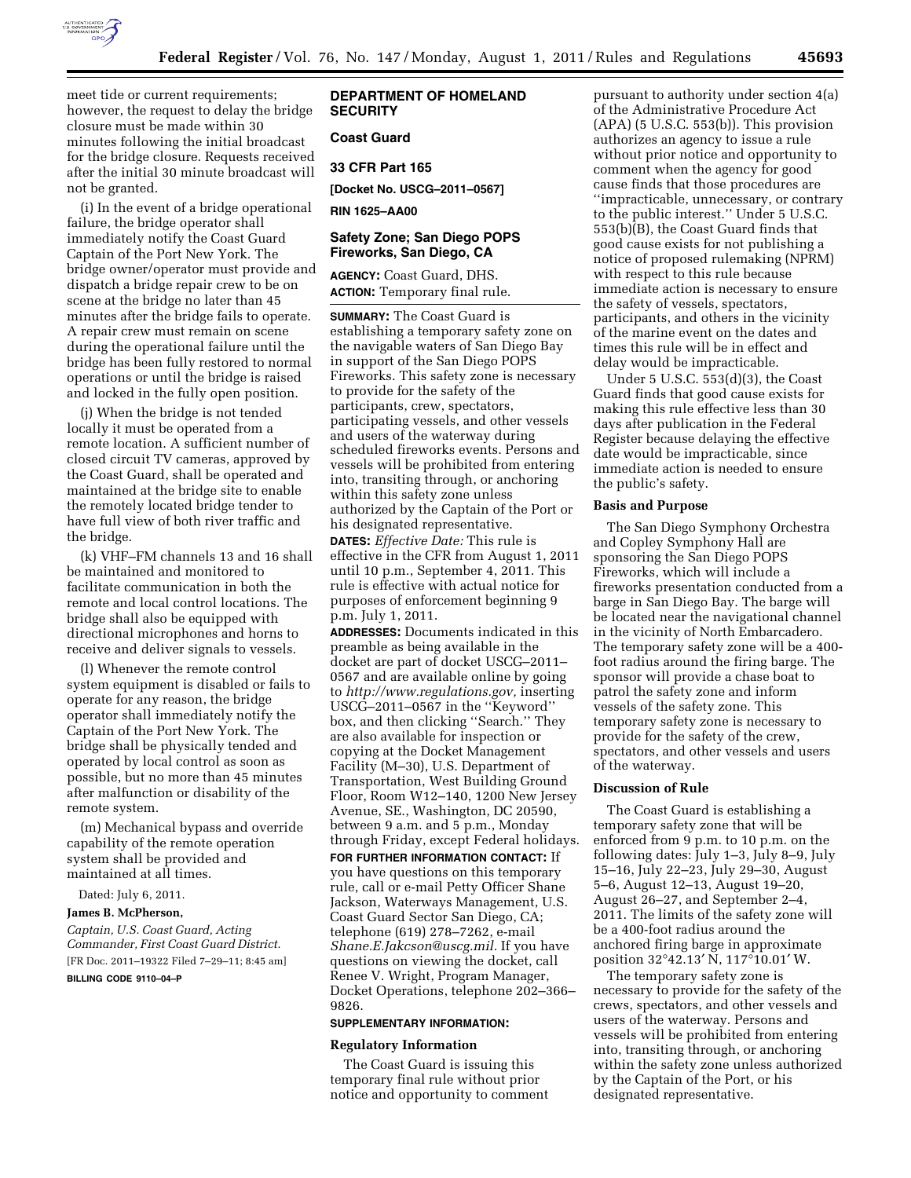

meet tide or current requirements; however, the request to delay the bridge closure must be made within 30 minutes following the initial broadcast for the bridge closure. Requests received after the initial 30 minute broadcast will not be granted.

(i) In the event of a bridge operational failure, the bridge operator shall immediately notify the Coast Guard Captain of the Port New York. The bridge owner/operator must provide and dispatch a bridge repair crew to be on scene at the bridge no later than 45 minutes after the bridge fails to operate. A repair crew must remain on scene during the operational failure until the bridge has been fully restored to normal operations or until the bridge is raised and locked in the fully open position.

(j) When the bridge is not tended locally it must be operated from a remote location. A sufficient number of closed circuit TV cameras, approved by the Coast Guard, shall be operated and maintained at the bridge site to enable the remotely located bridge tender to have full view of both river traffic and the bridge.

(k) VHF–FM channels 13 and 16 shall be maintained and monitored to facilitate communication in both the remote and local control locations. The bridge shall also be equipped with directional microphones and horns to receive and deliver signals to vessels.

(l) Whenever the remote control system equipment is disabled or fails to operate for any reason, the bridge operator shall immediately notify the Captain of the Port New York. The bridge shall be physically tended and operated by local control as soon as possible, but no more than 45 minutes after malfunction or disability of the remote system.

(m) Mechanical bypass and override capability of the remote operation system shall be provided and maintained at all times.

Dated: July 6, 2011.

#### **James B. McPherson,**

*Captain, U.S. Coast Guard, Acting Commander, First Coast Guard District.*  [FR Doc. 2011–19322 Filed 7–29–11; 8:45 am]

**BILLING CODE 9110–04–P** 

## **DEPARTMENT OF HOMELAND SECURITY**

## **Coast Guard**

## **33 CFR Part 165**

**[Docket No. USCG–2011–0567]** 

**RIN 1625–AA00** 

# **Safety Zone; San Diego POPS Fireworks, San Diego, CA**

**AGENCY:** Coast Guard, DHS. **ACTION:** Temporary final rule.

**SUMMARY:** The Coast Guard is establishing a temporary safety zone on the navigable waters of San Diego Bay in support of the San Diego POPS Fireworks. This safety zone is necessary to provide for the safety of the participants, crew, spectators, participating vessels, and other vessels and users of the waterway during scheduled fireworks events. Persons and vessels will be prohibited from entering into, transiting through, or anchoring within this safety zone unless authorized by the Captain of the Port or his designated representative. **DATES:** *Effective Date:* This rule is effective in the CFR from August 1, 2011 until 10 p.m., September 4, 2011. This rule is effective with actual notice for purposes of enforcement beginning 9 p.m. July 1, 2011.

**ADDRESSES:** Documents indicated in this preamble as being available in the docket are part of docket USCG–2011– 0567 and are available online by going to *[http://www.regulations.gov,](http://www.regulations.gov)* inserting USCG–2011–0567 in the ''Keyword'' box, and then clicking ''Search.'' They are also available for inspection or copying at the Docket Management Facility (M–30), U.S. Department of Transportation, West Building Ground Floor, Room W12–140, 1200 New Jersey Avenue, SE., Washington, DC 20590, between 9 a.m. and 5 p.m., Monday through Friday, except Federal holidays.

**FOR FURTHER INFORMATION CONTACT:** If you have questions on this temporary rule, call or e-mail Petty Officer Shane Jackson, Waterways Management, U.S. Coast Guard Sector San Diego, CA; telephone (619) 278–7262, e-mail *[Shane.E.Jakcson@uscg.mil.](mailto:Shane.E.Jakcson@uscg.mil)* If you have questions on viewing the docket, call Renee V. Wright, Program Manager, Docket Operations, telephone 202–366– 9826.

### **SUPPLEMENTARY INFORMATION:**

### **Regulatory Information**

The Coast Guard is issuing this temporary final rule without prior notice and opportunity to comment

pursuant to authority under section 4(a) of the Administrative Procedure Act  $(APA)$  (5 U.S.C. 553(b)). This provision authorizes an agency to issue a rule without prior notice and opportunity to comment when the agency for good cause finds that those procedures are ''impracticable, unnecessary, or contrary to the public interest.'' Under 5 U.S.C. 553(b)(B), the Coast Guard finds that good cause exists for not publishing a notice of proposed rulemaking (NPRM) with respect to this rule because immediate action is necessary to ensure the safety of vessels, spectators, participants, and others in the vicinity of the marine event on the dates and times this rule will be in effect and delay would be impracticable.

Under 5 U.S.C. 553(d)(3), the Coast Guard finds that good cause exists for making this rule effective less than 30 days after publication in the Federal Register because delaying the effective date would be impracticable, since immediate action is needed to ensure the public's safety.

## **Basis and Purpose**

The San Diego Symphony Orchestra and Copley Symphony Hall are sponsoring the San Diego POPS Fireworks, which will include a fireworks presentation conducted from a barge in San Diego Bay. The barge will be located near the navigational channel in the vicinity of North Embarcadero. The temporary safety zone will be a 400 foot radius around the firing barge. The sponsor will provide a chase boat to patrol the safety zone and inform vessels of the safety zone. This temporary safety zone is necessary to provide for the safety of the crew, spectators, and other vessels and users of the waterway.

### **Discussion of Rule**

The Coast Guard is establishing a temporary safety zone that will be enforced from 9 p.m. to 10 p.m. on the following dates: July 1–3, July 8–9, July 15–16, July 22–23, July 29–30, August 5–6, August 12–13, August 19–20, August 26–27, and September 2–4, 2011. The limits of the safety zone will be a 400-foot radius around the anchored firing barge in approximate position 32°42.13′ N, 117°10.01′ W.

The temporary safety zone is necessary to provide for the safety of the crews, spectators, and other vessels and users of the waterway. Persons and vessels will be prohibited from entering into, transiting through, or anchoring within the safety zone unless authorized by the Captain of the Port, or his designated representative.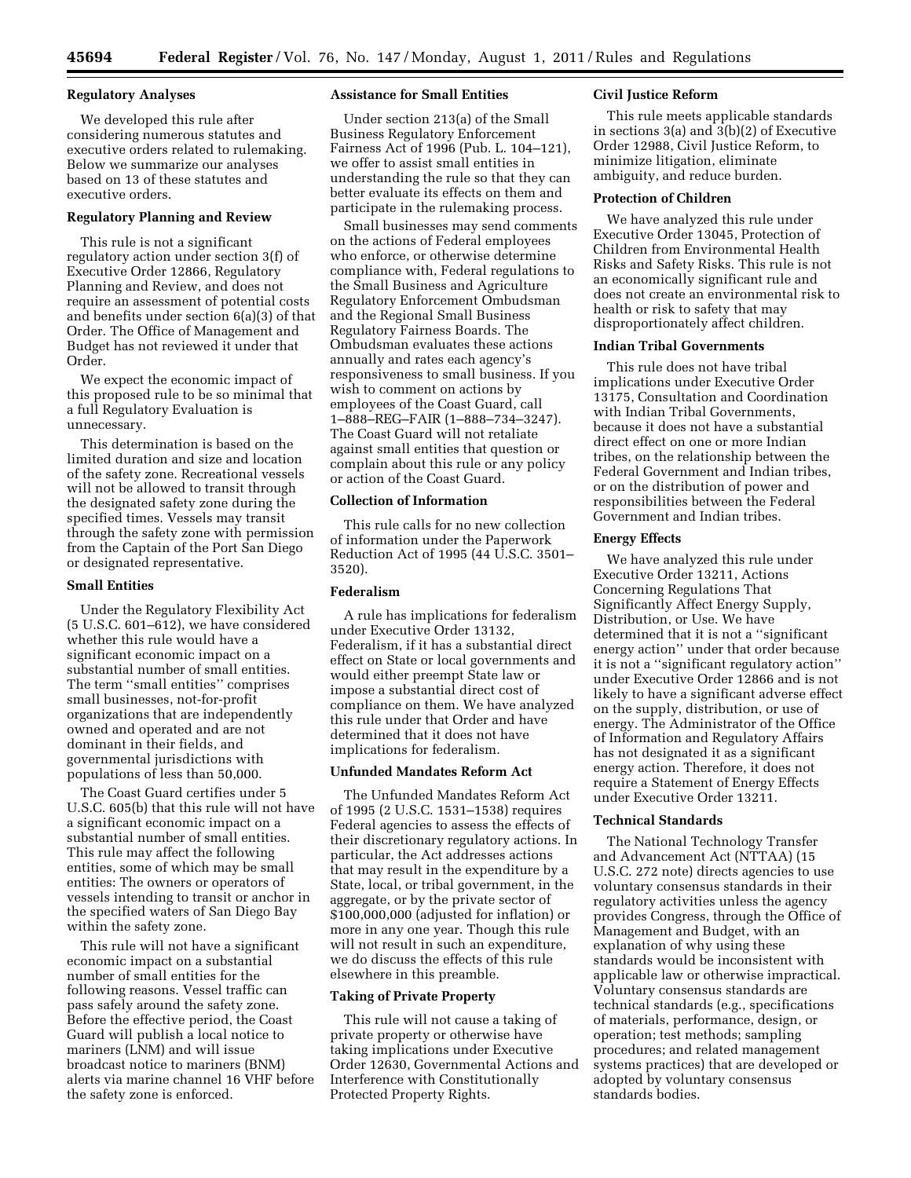## **Regulatory Analyses**

We developed this rule after considering numerous statutes and executive orders related to rulemaking. Below we summarize our analyses based on 13 of these statutes and executive orders.

## **Regulatory Planning and Review**

This rule is not a significant regulatory action under section 3(f) of Executive Order 12866, Regulatory Planning and Review, and does not require an assessment of potential costs and benefits under section 6(a)(3) of that Order. The Office of Management and Budget has not reviewed it under that Order.

We expect the economic impact of this proposed rule to be so minimal that a full Regulatory Evaluation is unnecessary.

This determination is based on the limited duration and size and location of the safety zone. Recreational vessels will not be allowed to transit through the designated safety zone during the specified times. Vessels may transit through the safety zone with permission from the Captain of the Port San Diego or designated representative.

#### **Small Entities**

Under the Regulatory Flexibility Act (5 U.S.C. 601–612), we have considered whether this rule would have a significant economic impact on a substantial number of small entities. The term ''small entities'' comprises small businesses, not-for-profit organizations that are independently owned and operated and are not dominant in their fields, and governmental jurisdictions with populations of less than 50,000.

The Coast Guard certifies under 5 U.S.C. 605(b) that this rule will not have a significant economic impact on a substantial number of small entities. This rule may affect the following entities, some of which may be small entities: The owners or operators of vessels intending to transit or anchor in the specified waters of San Diego Bay within the safety zone.

This rule will not have a significant economic impact on a substantial number of small entities for the following reasons. Vessel traffic can pass safely around the safety zone. Before the effective period, the Coast Guard will publish a local notice to mariners (LNM) and will issue broadcast notice to mariners (BNM) alerts via marine channel 16 VHF before the safety zone is enforced.

## **Assistance for Small Entities**

Under section 213(a) of the Small Business Regulatory Enforcement Fairness Act of 1996 (Pub. L. 104–121), we offer to assist small entities in understanding the rule so that they can better evaluate its effects on them and participate in the rulemaking process.

Small businesses may send comments on the actions of Federal employees who enforce, or otherwise determine compliance with, Federal regulations to the Small Business and Agriculture Regulatory Enforcement Ombudsman and the Regional Small Business Regulatory Fairness Boards. The Ombudsman evaluates these actions annually and rates each agency's responsiveness to small business. If you wish to comment on actions by employees of the Coast Guard, call 1–888–REG–FAIR (1–888–734–3247). The Coast Guard will not retaliate against small entities that question or complain about this rule or any policy or action of the Coast Guard.

## **Collection of Information**

This rule calls for no new collection of information under the Paperwork Reduction Act of 1995 (44 U.S.C. 3501– 3520).

#### **Federalism**

A rule has implications for federalism under Executive Order 13132, Federalism, if it has a substantial direct effect on State or local governments and would either preempt State law or impose a substantial direct cost of compliance on them. We have analyzed this rule under that Order and have determined that it does not have implications for federalism.

## **Unfunded Mandates Reform Act**

The Unfunded Mandates Reform Act of 1995 (2 U.S.C. 1531–1538) requires Federal agencies to assess the effects of their discretionary regulatory actions. In particular, the Act addresses actions that may result in the expenditure by a State, local, or tribal government, in the aggregate, or by the private sector of \$100,000,000 (adjusted for inflation) or more in any one year. Though this rule will not result in such an expenditure, we do discuss the effects of this rule elsewhere in this preamble.

### **Taking of Private Property**

This rule will not cause a taking of private property or otherwise have taking implications under Executive Order 12630, Governmental Actions and Interference with Constitutionally Protected Property Rights.

### **Civil Justice Reform**

This rule meets applicable standards in sections 3(a) and 3(b)(2) of Executive Order 12988, Civil Justice Reform, to minimize litigation, eliminate ambiguity, and reduce burden.

#### **Protection of Children**

We have analyzed this rule under Executive Order 13045, Protection of Children from Environmental Health Risks and Safety Risks. This rule is not an economically significant rule and does not create an environmental risk to health or risk to safety that may disproportionately affect children.

## **Indian Tribal Governments**

This rule does not have tribal implications under Executive Order 13175, Consultation and Coordination with Indian Tribal Governments, because it does not have a substantial direct effect on one or more Indian tribes, on the relationship between the Federal Government and Indian tribes, or on the distribution of power and responsibilities between the Federal Government and Indian tribes.

## **Energy Effects**

We have analyzed this rule under Executive Order 13211, Actions Concerning Regulations That Significantly Affect Energy Supply, Distribution, or Use. We have determined that it is not a ''significant energy action'' under that order because it is not a ''significant regulatory action'' under Executive Order 12866 and is not likely to have a significant adverse effect on the supply, distribution, or use of energy. The Administrator of the Office of Information and Regulatory Affairs has not designated it as a significant energy action. Therefore, it does not require a Statement of Energy Effects under Executive Order 13211.

### **Technical Standards**

The National Technology Transfer and Advancement Act (NTTAA) (15 U.S.C. 272 note) directs agencies to use voluntary consensus standards in their regulatory activities unless the agency provides Congress, through the Office of Management and Budget, with an explanation of why using these standards would be inconsistent with applicable law or otherwise impractical. Voluntary consensus standards are technical standards (e.g., specifications of materials, performance, design, or operation; test methods; sampling procedures; and related management systems practices) that are developed or adopted by voluntary consensus standards bodies.